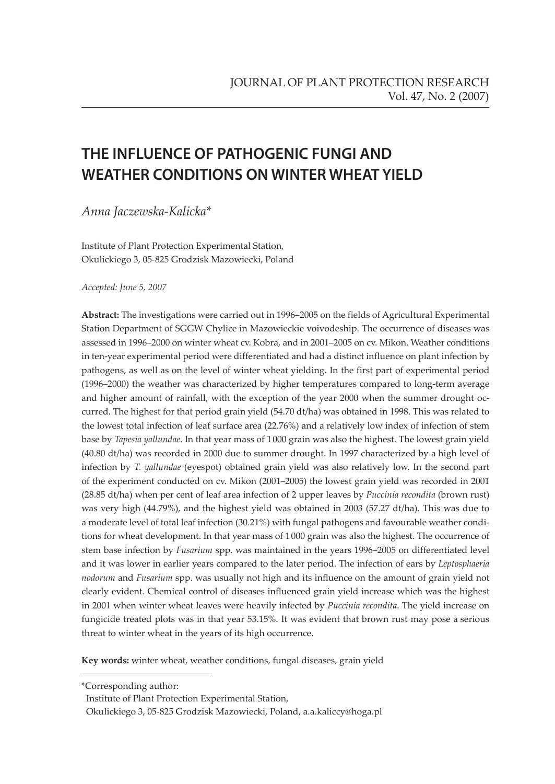# **THE INFLUENCE OF PATHOGENIC FUNGI AND WEATHER CONDITIONS ON WINTER WHEAT YIELD**

*Anna Jaczewska-Kalicka\**

Institute of Plant Protection Experimental Station, Okulickiego 3, 05-825 Grodzisk Mazowiecki, Poland

*Accepted: June 5, 2007*

**Abstract:** The investigations were carried out in 1996–2005 on the fields of Agricultural Experimental Station Department of SGGW Chylice in Mazowieckie voivodeship. The occurrence of diseases was assessed in 1996–2000 on winter wheat cv. Kobra, and in 2001–2005 on cv. Mikon. Weather conditions in ten-year experimental period were differentiated and had a distinct influence on plant infection by pathogens, as well as on the level of winter wheat yielding. In the first part of experimental period (1996–2000) the weather was characterized by higher temperatures compared to long-term average and higher amount of rainfall, with the exception of the year 2000 when the summer drought occurred. The highest for that period grain yield (54.70 dt/ha) was obtained in 1998. This was related to the lowest total infection of leaf surface area (22.76%) and a relatively low index of infection of stem base by *Tapesia yallundae*. In that year mass of 1 000 grain was also the highest. The lowest grain yield (40.80 dt/ha) was recorded in 2000 due to summer drought. In 1997 characterized by a high level of infection by *T. yallundae* (eyespot) obtained grain yield was also relatively low. In the second part of the experiment conducted on cv. Mikon (2001–2005) the lowest grain yield was recorded in 2001 (28.85 dt/ha) when per cent of leaf area infection of 2 upper leaves by *Puccinia recondita* (brown rust) was very high (44.79%), and the highest yield was obtained in 2003 (57.27 dt/ha). This was due to a moderate level of total leaf infection (30.21%) with fungal pathogens and favourable weather conditions for wheat development. In that year mass of 1 000 grain was also the highest. The occurrence of stem base infection by *Fusarium* spp. was maintained in the years 1996–2005 on differentiated level and it was lower in earlier years compared to the later period. The infection of ears by *Leptosphaeria nodorum* and *Fusarium* spp. was usually not high and its influence on the amount of grain yield not clearly evident. Chemical control of diseases influenced grain yield increase which was the highest in 2001 when winter wheat leaves were heavily infected by *Puccinia recondita*. The yield increase on fungicide treated plots was in that year 53.15%. It was evident that brown rust may pose a serious threat to winter wheat in the years of its high occurrence.

**Key words:** winter wheat, weather conditions, fungal diseases, grain yield

<sup>\*</sup>Corresponding author:

Institute of Plant Protection Experimental Station,

Okulickiego 3, 05-825 Grodzisk Mazowiecki, Poland, a.a.kaliccy@hoga.pl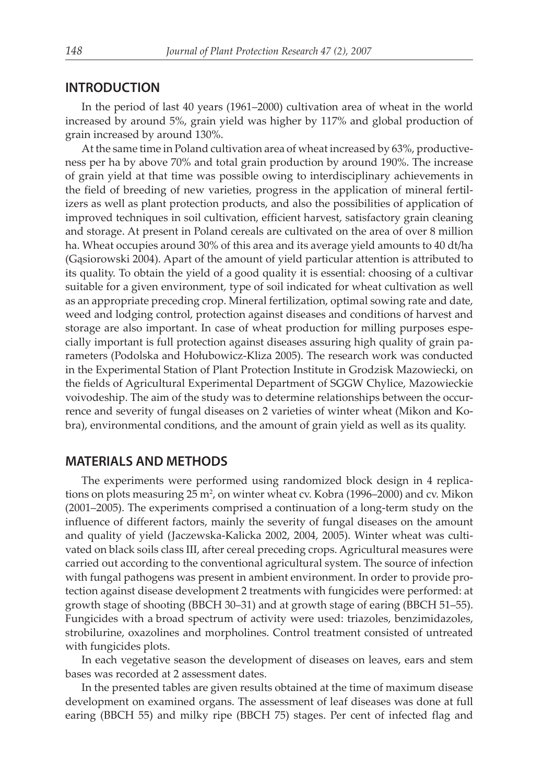#### **INTRODUCTION**

In the period of last 40 years (1961–2000) cultivation area of wheat in the world increased by around 5%, grain yield was higher by 117% and global production of grain increased by around 130%.

At the same time in Poland cultivation area of wheat increased by 63%, productiveness per ha by above 70% and total grain production by around 190%. The increase of grain yield at that time was possible owing to interdisciplinary achievements in the field of breeding of new varieties, progress in the application of mineral fertilizers as well as plant protection products, and also the possibilities of application of improved techniques in soil cultivation, efficient harvest, satisfactory grain cleaning and storage. At present in Poland cereals are cultivated on the area of over 8 million ha. Wheat occupies around 30% of this area and its average yield amounts to 40 dt/ha (Gąsiorowski 2004). Apart of the amount of yield particular attention is attributed to its quality. To obtain the yield of a good quality it is essential: choosing of a cultivar suitable for a given environment, type of soil indicated for wheat cultivation as well as an appropriate preceding crop. Mineral fertilization, optimal sowing rate and date, weed and lodging control, protection against diseases and conditions of harvest and storage are also important. In case of wheat production for milling purposes especially important is full protection against diseases assuring high quality of grain parameters (Podolska and Hołubowicz-Kliza 2005). The research work was conducted in the Experimental Station of Plant Protection Institute in Grodzisk Mazowiecki, on the fields of Agricultural Experimental Department of SGGW Chylice, Mazowieckie voivodeship. The aim of the study was to determine relationships between the occurrence and severity of fungal diseases on 2 varieties of winter wheat (Mikon and Kobra), environmental conditions, and the amount of grain yield as well as its quality.

#### **MATERIALS AND METHODS**

The experiments were performed using randomized block design in 4 replications on plots measuring  $25 \text{ m}^2$ , on winter wheat cv. Kobra (1996–2000) and cv. Mikon (2001–2005). The experiments comprised a continuation of a long-term study on the influence of different factors, mainly the severity of fungal diseases on the amount and quality of yield (Jaczewska-Kalicka 2002, 2004, 2005). Winter wheat was cultivated on black soils class III, after cereal preceding crops. Agricultural measures were carried out according to the conventional agricultural system. The source of infection with fungal pathogens was present in ambient environment. In order to provide protection against disease development 2 treatments with fungicides were performed: at growth stage of shooting (BBCH 30–31) and at growth stage of earing (BBCH 51–55). Fungicides with a broad spectrum of activity were used: triazoles, benzimidazoles, strobilurine, oxazolines and morpholines. Control treatment consisted of untreated with fungicides plots.

In each vegetative season the development of diseases on leaves, ears and stem bases was recorded at 2 assessment dates.

In the presented tables are given results obtained at the time of maximum disease development on examined organs. The assessment of leaf diseases was done at full earing (BBCH 55) and milky ripe (BBCH 75) stages. Per cent of infected flag and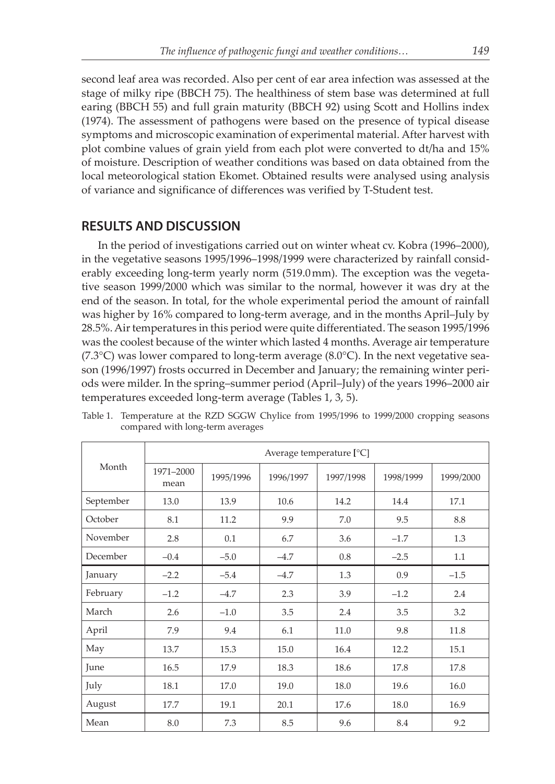second leaf area was recorded. Also per cent of ear area infection was assessed at the stage of milky ripe (BBCH 75). The healthiness of stem base was determined at full earing (BBCH 55) and full grain maturity (BBCH 92) using Scott and Hollins index (1974). The assessment of pathogens were based on the presence of typical disease symptoms and microscopic examination of experimental material. After harvest with plot combine values of grain yield from each plot were converted to dt/ha and 15% of moisture. Description of weather conditions was based on data obtained from the local meteorological station Ekomet. Obtained results were analysed using analysis of variance and significance of differences was verified by T-Student test.

### **RESULTS AND DISCUSSION**

In the period of investigations carried out on winter wheat cv. Kobra (1996–2000), in the vegetative seasons 1995/1996–1998/1999 were characterized by rainfall considerably exceeding long-term yearly norm (519.0 mm). The exception was the vegetative season 1999/2000 which was similar to the normal, however it was dry at the end of the season. In total, for the whole experimental period the amount of rainfall was higher by 16% compared to long-term average, and in the months April–July by 28.5%. Air temperatures in this period were quite differentiated. The season 1995/1996 was the coolest because of the winter which lasted 4 months. Average air temperature  $(7.3^{\circ}C)$  was lower compared to long-term average  $(8.0^{\circ}C)$ . In the next vegetative season (1996/1997) frosts occurred in December and January; the remaining winter periods were milder. In the spring–summer period (April–July) of the years 1996–2000 air temperatures exceeded long-term average (Tables 1, 3, 5).

|           | Average temperature $[°C]$ |           |           |           |           |           |  |  |
|-----------|----------------------------|-----------|-----------|-----------|-----------|-----------|--|--|
| Month     | 1971-2000<br>mean          | 1995/1996 | 1996/1997 | 1997/1998 | 1998/1999 | 1999/2000 |  |  |
| September | 13.0                       | 13.9      | 10.6      | 14.2      | 14.4      | 17.1      |  |  |
| October   | 8.1                        | 11.2      | 9.9       | 7.0       | 9.5       | 8.8       |  |  |
| November  | 2.8                        | 0.1       | 6.7       | 3.6       | $-1.7$    | 1.3       |  |  |
| December  | $-0.4$                     | $-5.0$    | $-4.7$    | 0.8       | $-2.5$    | 1.1       |  |  |
| January   | $-2.2$                     | $-5.4$    | $-4.7$    | 1.3       | 0.9       | $-1.5$    |  |  |
| February  | $-1.2$                     | $-4.7$    | 2.3       | 3.9       | $-1.2$    | 2.4       |  |  |
| March     | 2.6                        | $-1.0$    | 3.5       | 2.4       | 3.5       | 3.2       |  |  |
| April     | 7.9                        | 9.4       | 6.1       | 11.0      | 9.8       | 11.8      |  |  |
| May       | 13.7                       | 15.3      | 15.0      | 16.4      | 12.2      | 15.1      |  |  |
| June      | 16.5                       | 17.9      | 18.3      | 18.6      | 17.8      | 17.8      |  |  |
| July      | 18.1                       | 17.0      | 19.0      | 18.0      | 19.6      | 16.0      |  |  |
| August    | 17.7                       | 19.1      | 20.1      | 17.6      | 18.0      | 16.9      |  |  |
| Mean      | 8.0                        | 7.3       | 8.5       | 9.6       | 8.4       | 9.2       |  |  |

Table 1. Temperature at the RZD SGGW Chylice from 1995/1996 to 1999/2000 cropping seasons compared with long-term averages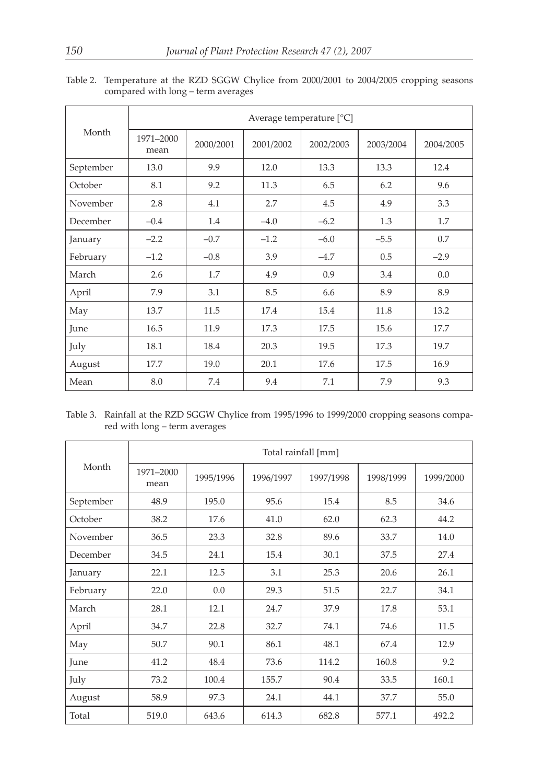|           | Average temperature $[°C]$ |           |           |           |           |           |  |
|-----------|----------------------------|-----------|-----------|-----------|-----------|-----------|--|
| Month     | 1971-2000<br>mean          | 2000/2001 | 2001/2002 | 2002/2003 | 2003/2004 | 2004/2005 |  |
| September | 13.0                       | 9.9       | 12.0      | 13.3      | 13.3      | 12.4      |  |
| October   | 8.1                        | 9.2       | 11.3      | 6.5       | 6.2       | 9.6       |  |
| November  | 2.8                        | 4.1       | 2.7       | 4.5       | 4.9       | 3.3       |  |
| December  | $-0.4$                     | 1.4       | $-4.0$    | $-6.2$    | 1.3       | 1.7       |  |
| January   | $-2.2$                     | $-0.7$    | $-1.2$    | $-6.0$    | $-5.5$    | 0.7       |  |
| February  | $-1.2$                     | $-0.8$    | 3.9       | $-4.7$    | 0.5       | $-2.9$    |  |
| March     | 2.6                        | 1.7       | 4.9       | 0.9       | 3.4       | 0.0       |  |
| April     | 7.9                        | 3.1       | 8.5       | 6.6       | 8.9       | 8.9       |  |
| May       | 13.7                       | 11.5      | 17.4      | 15.4      | 11.8      | 13.2      |  |
| June      | 16.5                       | 11.9      | 17.3      | 17.5      | 15.6      | 17.7      |  |
| July      | 18.1                       | 18.4      | 20.3      | 19.5      | 17.3      | 19.7      |  |
| August    | 17.7                       | 19.0      | 20.1      | 17.6      | 17.5      | 16.9      |  |
| Mean      | 8.0                        | 7.4       | 9.4       | 7.1       | 7.9       | 9.3       |  |

Table 2. Temperature at the RZD SGGW Chylice from 2000/2001 to 2004/2005 cropping seasons compared with long – term averages

Table 3. Rainfall at the RZD SGGW Chylice from 1995/1996 to 1999/2000 cropping seasons compared with long – term averages

|           | Total rainfall [mm] |           |           |           |           |           |  |  |
|-----------|---------------------|-----------|-----------|-----------|-----------|-----------|--|--|
| Month     | 1971-2000<br>mean   | 1995/1996 | 1996/1997 | 1997/1998 | 1998/1999 | 1999/2000 |  |  |
| September | 48.9                | 195.0     | 95.6      | 15.4      | 8.5       | 34.6      |  |  |
| October   | 38.2                | 17.6      | 41.0      | 62.0      | 62.3      | 44.2      |  |  |
| November  | 36.5                | 23.3      | 32.8      | 89.6      | 33.7      | 14.0      |  |  |
| December  | 34.5                | 24.1      | 15.4      | 30.1      | 37.5      | 27.4      |  |  |
| January   | 22.1                | 12.5      | 3.1       | 25.3      | 20.6      | 26.1      |  |  |
| February  | 22.0                | 0.0       | 29.3      | 51.5      | 22.7      | 34.1      |  |  |
| March     | 28.1                | 12.1      | 24.7      | 37.9      | 17.8      | 53.1      |  |  |
| April     | 34.7                | 22.8      | 32.7      | 74.1      | 74.6      | 11.5      |  |  |
| May       | 50.7                | 90.1      | 86.1      | 48.1      | 67.4      | 12.9      |  |  |
| June      | 41.2                | 48.4      | 73.6      | 114.2     | 160.8     | 9.2       |  |  |
| July      | 73.2                | 100.4     | 155.7     | 90.4      | 33.5      | 160.1     |  |  |
| August    | 58.9                | 97.3      | 24.1      | 44.1      | 37.7      | 55.0      |  |  |
| Total     | 519.0               | 643.6     | 614.3     | 682.8     | 577.1     | 492.2     |  |  |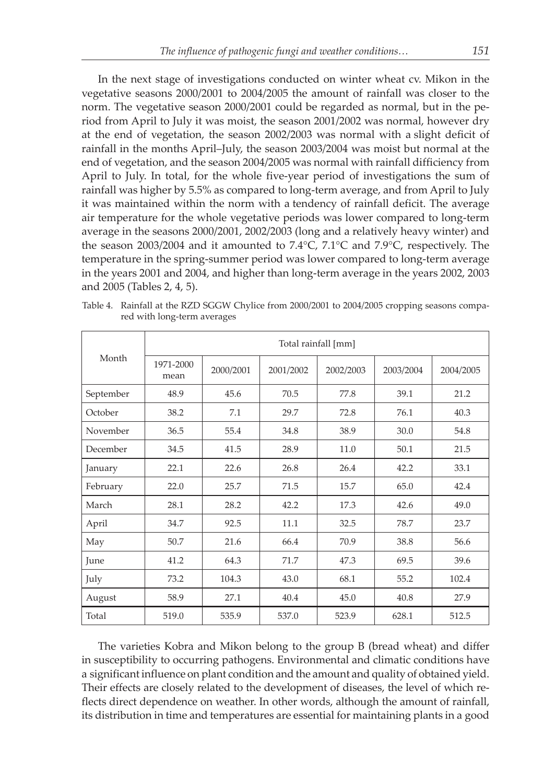In the next stage of investigations conducted on winter wheat cv. Mikon in the vegetative seasons 2000/2001 to 2004/2005 the amount of rainfall was closer to the norm. The vegetative season 2000/2001 could be regarded as normal, but in the period from April to July it was moist, the season 2001/2002 was normal, however dry at the end of vegetation, the season 2002/2003 was normal with a slight deficit of rainfall in the months April–July, the season 2003/2004 was moist but normal at the end of vegetation, and the season 2004/2005 was normal with rainfall difficiency from April to July. In total, for the whole five-year period of investigations the sum of rainfall was higher by 5.5% as compared to long-term average, and from April to July it was maintained within the norm with a tendency of rainfall deficit. The average air temperature for the whole vegetative periods was lower compared to long-term average in the seasons 2000/2001, 2002/2003 (long and a relatively heavy winter) and the season 2003/2004 and it amounted to 7.4°C, 7.1°C and 7.9°C, respectively. The temperature in the spring-summer period was lower compared to long-term average in the years 2001 and 2004, and higher than long-term average in the years 2002, 2003 and 2005 (Tables 2, 4, 5).

|           | Total rainfall [mm] |           |           |           |           |           |  |  |
|-----------|---------------------|-----------|-----------|-----------|-----------|-----------|--|--|
| Month     | 1971-2000<br>mean   | 2000/2001 | 2001/2002 | 2002/2003 | 2003/2004 | 2004/2005 |  |  |
| September | 48.9                | 45.6      | 70.5      | 77.8      | 39.1      | 21.2      |  |  |
| October   | 38.2                | 7.1       | 29.7      | 72.8      | 76.1      | 40.3      |  |  |
| November  | 36.5                | 55.4      | 34.8      | 38.9      | 30.0      | 54.8      |  |  |
| December  | 34.5                | 41.5      | 28.9      | 11.0      | 50.1      | 21.5      |  |  |
| January   | 22.1                | 22.6      | 26.8      | 26.4      | 42.2      | 33.1      |  |  |
| February  | 22.0                | 25.7      | 71.5      | 15.7      | 65.0      | 42.4      |  |  |
| March     | 28.1                | 28.2      | 42.2      | 17.3      | 42.6      | 49.0      |  |  |
| April     | 34.7                | 92.5      | 11.1      | 32.5      | 78.7      | 23.7      |  |  |
| May       | 50.7                | 21.6      | 66.4      | 70.9      | 38.8      | 56.6      |  |  |
| June      | 41.2                | 64.3      | 71.7      | 47.3      | 69.5      | 39.6      |  |  |
| July      | 73.2                | 104.3     | 43.0      | 68.1      | 55.2      | 102.4     |  |  |
| August    | 58.9                | 27.1      | 40.4      | 45.0      | 40.8      | 27.9      |  |  |
| Total     | 519.0               | 535.9     | 537.0     | 523.9     | 628.1     | 512.5     |  |  |

Table 4. Rainfall at the RZD SGGW Chylice from 2000/2001 to 2004/2005 cropping seasons compared with long-term averages

The varieties Kobra and Mikon belong to the group B (bread wheat) and differ in susceptibility to occurring pathogens. Environmental and climatic conditions have a significant influence on plant condition and the amount and quality of obtained yield. Their effects are closely related to the development of diseases, the level of which reflects direct dependence on weather. In other words, although the amount of rainfall, its distribution in time and temperatures are essential for maintaining plants in a good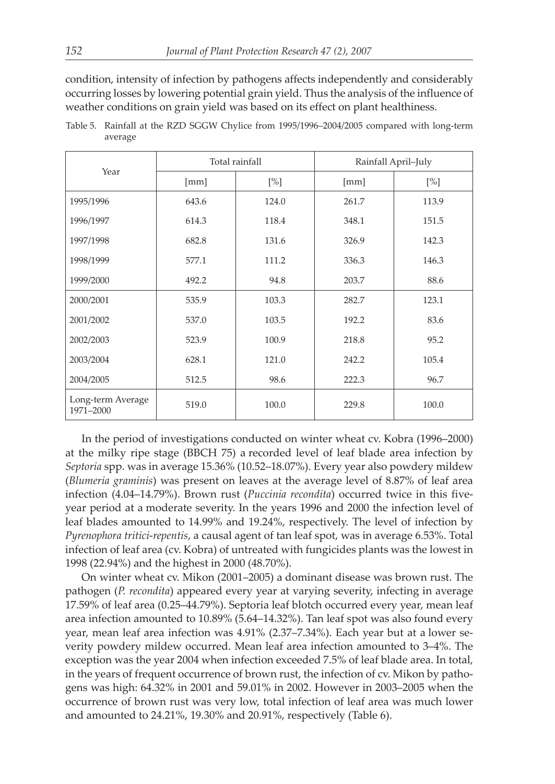condition, intensity of infection by pathogens affects independently and considerably occurring losses by lowering potential grain yield. Thus the analysis of the influence of weather conditions on grain yield was based on its effect on plant healthiness.

| Year                           |       | Total rainfall | Rainfall April-July |       |  |
|--------------------------------|-------|----------------|---------------------|-------|--|
|                                | [mm]  | [%]            | [mm]                | [%]   |  |
| 1995/1996                      | 643.6 | 124.0          | 261.7               | 113.9 |  |
| 1996/1997                      | 614.3 | 118.4          | 348.1               | 151.5 |  |
| 1997/1998                      | 682.8 | 131.6          | 326.9               | 142.3 |  |
| 1998/1999                      | 577.1 | 111.2          | 336.3               | 146.3 |  |
| 1999/2000                      | 492.2 | 94.8           | 203.7               | 88.6  |  |
| 2000/2001                      | 535.9 | 103.3          | 282.7               | 123.1 |  |
| 2001/2002                      | 537.0 | 103.5          | 192.2               | 83.6  |  |
| 2002/2003                      | 523.9 | 100.9          | 218.8               | 95.2  |  |
| 2003/2004                      | 628.1 | 121.0          | 242.2               | 105.4 |  |
| 2004/2005                      | 512.5 | 98.6           | 222.3               | 96.7  |  |
| Long-term Average<br>1971-2000 | 519.0 | 100.0          | 229.8               | 100.0 |  |

Table 5. Rainfall at the RZD SGGW Chylice from 1995/1996–2004/2005 compared with long-term average

In the period of investigations conducted on winter wheat cv. Kobra (1996–2000) at the milky ripe stage (BBCH 75) a recorded level of leaf blade area infection by *Septoria* spp. was in average 15.36% (10.52–18.07%). Every year also powdery mildew (*Blumeria graminis*) was present on leaves at the average level of 8.87% of leaf area infection (4.04–14.79%). Brown rust (*Puccinia recondita*) occurred twice in this fiveyear period at a moderate severity. In the years 1996 and 2000 the infection level of leaf blades amounted to 14.99% and 19.24%, respectively. The level of infection by *Pyrenophora tritici*-*repentis*, a causal agent of tan leaf spot, was in average 6.53%. Total infection of leaf area (cv. Kobra) of untreated with fungicides plants was the lowest in 1998 (22.94%) and the highest in 2000 (48.70%).

On winter wheat cv. Mikon (2001–2005) a dominant disease was brown rust. The pathogen (*P. recondita*) appeared every year at varying severity, infecting in average 17.59% of leaf area (0.25–44.79%). Septoria leaf blotch occurred every year, mean leaf area infection amounted to 10.89% (5.64–14.32%). Tan leaf spot was also found every year, mean leaf area infection was 4.91% (2.37–7.34%). Each year but at a lower severity powdery mildew occurred. Mean leaf area infection amounted to 3–4%. The exception was the year 2004 when infection exceeded 7.5% of leaf blade area. In total, in the years of frequent occurrence of brown rust, the infection of cv. Mikon by pathogens was high: 64.32% in 2001 and 59.01% in 2002. However in 2003–2005 when the occurrence of brown rust was very low, total infection of leaf area was much lower and amounted to 24.21%, 19.30% and 20.91%, respectively (Table 6).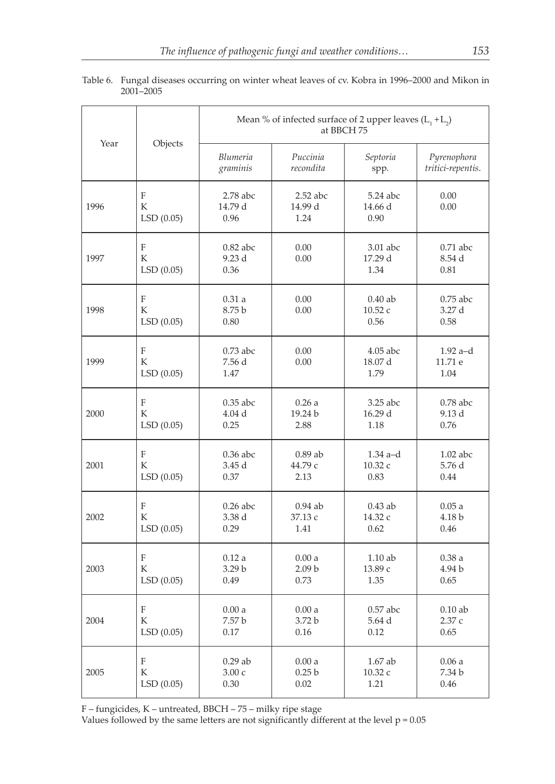|      |                                             | Mean % of infected surface of 2 upper leaves $(L_1 + L_2)$<br>at BBCH 75 |                               |                               |                                  |  |  |
|------|---------------------------------------------|--------------------------------------------------------------------------|-------------------------------|-------------------------------|----------------------------------|--|--|
| Year | Objects                                     | Blumeria<br>graminis                                                     | Puccinia<br>recondita         | Septoria<br>spp.              | Pyrenophora<br>tritici-repentis. |  |  |
| 1996 | F<br>K<br>LSD(0.05)                         | $2.78$ abc<br>14.79 d<br>0.96                                            | $2.52$ abc<br>14.99 d<br>1.24 | 5.24 abc<br>14.66 d<br>0.90   | 0.00<br>0.00                     |  |  |
| 1997 | $\mathbf F$<br>K<br>LSD(0.05)               | $0.82$ abc<br>9.23d<br>0.36                                              | 0.00<br>0.00                  | 3.01 abc<br>17.29 d<br>1.34   | $0.71$ abc<br>8.54 d<br>0.81     |  |  |
| 1998 | $\boldsymbol{\mathrm{F}}$<br>K<br>LSD(0.05) | 0.31a<br>8.75 b<br>0.80                                                  | 0.00<br>0.00                  | $0.40$ ab<br>10.52 с<br>0.56  | $0.75$ abc<br>3.27 d<br>0.58     |  |  |
| 1999 | $\mathbf F$<br>К<br>LSD(0.05)               | $0.73$ abc<br>7.56 d<br>1.47                                             | 0.00<br>0.00                  | $4.05$ abc<br>18.07 d<br>1.79 | $1.92$ a-d<br>11.71 e<br>1.04    |  |  |
| 2000 | $\mathbf{F}$                                | $0.35$ abc                                                               | 0.26a                         | 3.25 abc                      | $0.78$ abc                       |  |  |
|      | K                                           | 4.04d                                                                    | 19.24 b                       | 16.29 d                       | 9.13 d                           |  |  |
|      | LSD(0.05)                                   | 0.25                                                                     | 2.88                          | 1.18                          | 0.76                             |  |  |
| 2001 | $\boldsymbol{\mathrm{F}}$                   | 0.36 abc                                                                 | $0.89$ ab                     | $1.34$ a-d                    | $1.02$ abc                       |  |  |
|      | K                                           | 3.45 d                                                                   | 44.79 с                       | 10.32 с                       | 5.76 d                           |  |  |
|      | LSD(0.05)                                   | 0.37                                                                     | 2.13                          | 0.83                          | 0.44                             |  |  |
| 2002 | F                                           | $0.26$ abc                                                               | $0.94$ ab                     | $0.43$ ab                     | 0.05a                            |  |  |
|      | K                                           | 3.38 d                                                                   | 37.13 с                       | 14.32 с                       | 4.18 b                           |  |  |
|      | LSD(0.05)                                   | 0.29                                                                     | 1.41                          | 0.62                          | 0.46                             |  |  |
| 2003 | F                                           | 0.12a                                                                    | 0.00a                         | 1.10 ab                       | 0.38a                            |  |  |
|      | K                                           | 3.29 b                                                                   | 2.09 <sub>b</sub>             | 13.89 с                       | 4.94 b                           |  |  |
|      | LSD(0.05)                                   | 0.49                                                                     | 0.73                          | 1.35                          | 0.65                             |  |  |
| 2004 | F                                           | 0.00a                                                                    | 0.00a                         | $0.57$ abc                    | $0.10$ ab                        |  |  |
|      | K                                           | 7.57 b                                                                   | 3.72 b                        | 5.64 d                        | 2.37 с                           |  |  |
|      | LSD(0.05)                                   | 0.17                                                                     | 0.16                          | 0.12                          | 0.65                             |  |  |
| 2005 | F                                           | $0.29$ ab                                                                | 0.00a                         | 1.67 ab                       | 0.06a                            |  |  |
|      | K                                           | 3.00c                                                                    | 0.25 <sub>b</sub>             | 10.32 с                       | 7.34 b                           |  |  |
|      | LSD(0.05)                                   | 0.30                                                                     | 0.02                          | 1.21                          | 0.46                             |  |  |

Table 6. Fungal diseases occurring on winter wheat leaves of cv. Kobra in 1996–2000 and Mikon in 2001–2005

F – fungicides, K – untreated, BBCH – 75 – milky ripe stage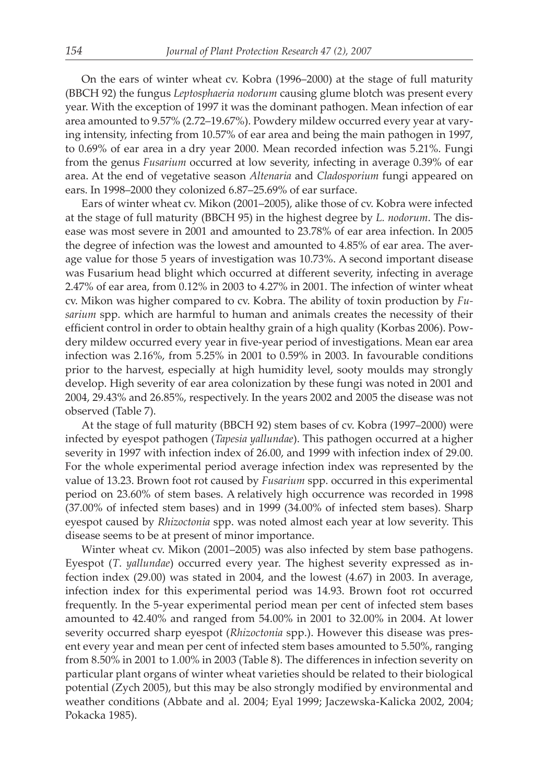On the ears of winter wheat cv. Kobra (1996–2000) at the stage of full maturity (BBCH 92) the fungus *Leptosphaeria nodorum* causing glume blotch was present every year. With the exception of 1997 it was the dominant pathogen. Mean infection of ear area amounted to 9.57% (2.72–19.67%). Powdery mildew occurred every year at varying intensity, infecting from 10.57% of ear area and being the main pathogen in 1997, to 0.69% of ear area in a dry year 2000. Mean recorded infection was 5.21%. Fungi from the genus *Fusarium* occurred at low severity, infecting in average 0.39% of ear area. At the end of vegetative season *Altenaria* and *Cladosporium* fungi appeared on ears. In 1998–2000 they colonized 6.87–25.69% of ear surface.

Ears of winter wheat cv. Mikon (2001–2005), alike those of cv. Kobra were infected at the stage of full maturity (BBCH 95) in the highest degree by *L. nodorum*. The disease was most severe in 2001 and amounted to 23.78% of ear area infection. In 2005 the degree of infection was the lowest and amounted to 4.85% of ear area. The average value for those 5 years of investigation was 10.73%. A second important disease was Fusarium head blight which occurred at different severity, infecting in average 2.47% of ear area, from 0.12% in 2003 to 4.27% in 2001. The infection of winter wheat cv. Mikon was higher compared to cv. Kobra. The ability of toxin production by *Fusarium* spp. which are harmful to human and animals creates the necessity of their efficient control in order to obtain healthy grain of a high quality (Korbas 2006). Powdery mildew occurred every year in five-year period of investigations. Mean ear area infection was 2.16%, from 5.25% in 2001 to 0.59% in 2003. In favourable conditions prior to the harvest, especially at high humidity level, sooty moulds may strongly develop. High severity of ear area colonization by these fungi was noted in 2001 and 2004, 29.43% and 26.85%, respectively. In the years 2002 and 2005 the disease was not observed (Table 7).

At the stage of full maturity (BBCH 92) stem bases of cv. Kobra (1997–2000) were infected by eyespot pathogen (*Tapesia yallundae*). This pathogen occurred at a higher severity in 1997 with infection index of 26.00, and 1999 with infection index of 29.00. For the whole experimental period average infection index was represented by the value of 13.23. Brown foot rot caused by *Fusarium* spp. occurred in this experimental period on 23.60% of stem bases. A relatively high occurrence was recorded in 1998 (37.00% of infected stem bases) and in 1999 (34.00% of infected stem bases). Sharp eyespot caused by *Rhizoctonia* spp. was noted almost each year at low severity. This disease seems to be at present of minor importance.

Winter wheat cv. Mikon (2001–2005) was also infected by stem base pathogens. Eyespot (*T*. *yallundae*) occurred every year. The highest severity expressed as infection index (29.00) was stated in 2004, and the lowest (4.67) in 2003. In average, infection index for this experimental period was 14.93. Brown foot rot occurred frequently. In the 5-year experimental period mean per cent of infected stem bases amounted to 42.40% and ranged from 54.00% in 2001 to 32.00% in 2004. At lower severity occurred sharp eyespot (*Rhizoctonia* spp.). However this disease was present every year and mean per cent of infected stem bases amounted to 5.50%, ranging from 8.50% in 2001 to 1.00% in 2003 (Table 8). The differences in infection severity on particular plant organs of winter wheat varieties should be related to their biological potential (Zych 2005), but this may be also strongly modified by environmental and weather conditions (Abbate and al. 2004; Eyal 1999; Jaczewska-Kalicka 2002, 2004; Pokacka 1985).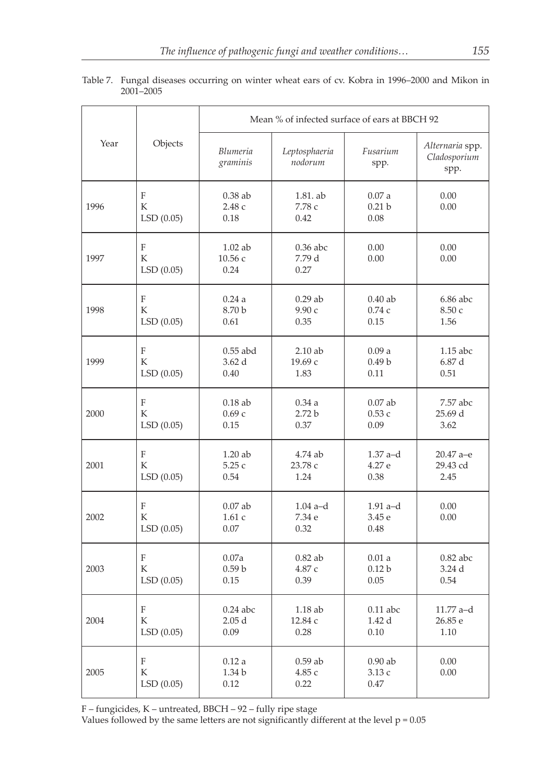|      |                                             | Mean % of infected surface of ears at BBCH 92 |                              |                                    |                                         |  |  |
|------|---------------------------------------------|-----------------------------------------------|------------------------------|------------------------------------|-----------------------------------------|--|--|
| Year | Objects                                     | Blumeria<br>graminis                          | Leptosphaeria<br>nodorum     | Fusarium<br>spp.                   | Alternaria spp.<br>Cladosporium<br>spp. |  |  |
| 1996 | F<br>K<br>LSD(0.05)                         | $0.38$ ab<br>2.48c<br>0.18                    | 1.81. ab<br>7.78 с<br>0.42   | 0.07a<br>0.21 <sub>b</sub><br>0.08 | 0.00<br>0.00                            |  |  |
| 1997 | F<br>K<br>LSD(0.05)                         | $1.02$ ab<br>10.56 с<br>0.24                  | $0.36$ abc<br>7.79 d<br>0.27 | 0.00<br>0.00                       | 0.00<br>0.00                            |  |  |
| 1998 | F                                           | 0.24a                                         | $0.29$ ab                    | $0.40$ ab                          | $6.86$ abc                              |  |  |
|      | K                                           | 8.70 b                                        | 9.90 с                       | 0.74c                              | 8.50 с                                  |  |  |
|      | LSD(0.05)                                   | 0.61                                          | 0.35                         | 0.15                               | 1.56                                    |  |  |
| 1999 | $\overline{F}$                              | $0.55$ abd                                    | $2.10$ ab                    | 0.09a                              | $1.15$ abc                              |  |  |
|      | K                                           | 3.62d                                         | 19.69 с                      | 0.49 <sub>b</sub>                  | 6.87d                                   |  |  |
|      | LSD(0.05)                                   | 0.40                                          | 1.83                         | 0.11                               | 0.51                                    |  |  |
| 2000 | $\boldsymbol{\mathrm{F}}$                   | $0.18$ ab                                     | 0.34a                        | $0.07$ ab                          | 7.57 abc                                |  |  |
|      | K                                           | 0.69c                                         | 2.72 <sub>b</sub>            | 0.53c                              | 25.69 d                                 |  |  |
|      | LSD(0.05)                                   | 0.15                                          | 0.37                         | 0.09                               | 3.62                                    |  |  |
| 2001 | F                                           | $1.20$ ab                                     | 4.74 ab                      | $1.37$ a-d                         | $20.47$ a-e                             |  |  |
|      | K                                           | 5.25c                                         | 23.78 с                      | 4.27 e                             | 29.43 cd                                |  |  |
|      | LSD(0.05)                                   | 0.54                                          | 1.24                         | 0.38                               | 2.45                                    |  |  |
| 2002 | F<br>K<br>LSD(0.05)                         | $0.07$ ab<br>1.61c<br>0.07                    | $1.04$ a-d<br>7.34 e<br>0.32 | $1.91$ a-d<br>3.45 e<br>0.48       | 0.00<br>0.00                            |  |  |
| 2003 | F                                           | 0.07a                                         | $0.82$ ab                    | 0.01a                              | $0.82$ abc                              |  |  |
|      | K                                           | 0.59 <sub>b</sub>                             | 4.87 с                       | 0.12 <sub>b</sub>                  | 3.24 d                                  |  |  |
|      | LSD(0.05)                                   | 0.15                                          | 0.39                         | 0.05                               | 0.54                                    |  |  |
| 2004 | F                                           | $0.24$ abc                                    | 1.18 ab                      | $0.11$ abc                         | $11.77$ a-d                             |  |  |
|      | K                                           | 2.05d                                         | 12.84 с                      | 1.42d                              | 26.85 e                                 |  |  |
|      | LSD(0.05)                                   | 0.09                                          | 0.28                         | 0.10                               | 1.10                                    |  |  |
| 2005 | $\boldsymbol{\mathrm{F}}$<br>K<br>LSD(0.05) | 0.12a<br>1.34 b<br>0.12                       | $0.59$ ab<br>4.85 с<br>0.22  | $0.90$ ab<br>3.13c<br>0.47         | 0.00<br>0.00                            |  |  |

Table 7. Fungal diseases occurring on winter wheat ears of cv. Kobra in 1996–2000 and Mikon in 2001–2005

F – fungicides, K – untreated, BBCH – 92 – fully ripe stage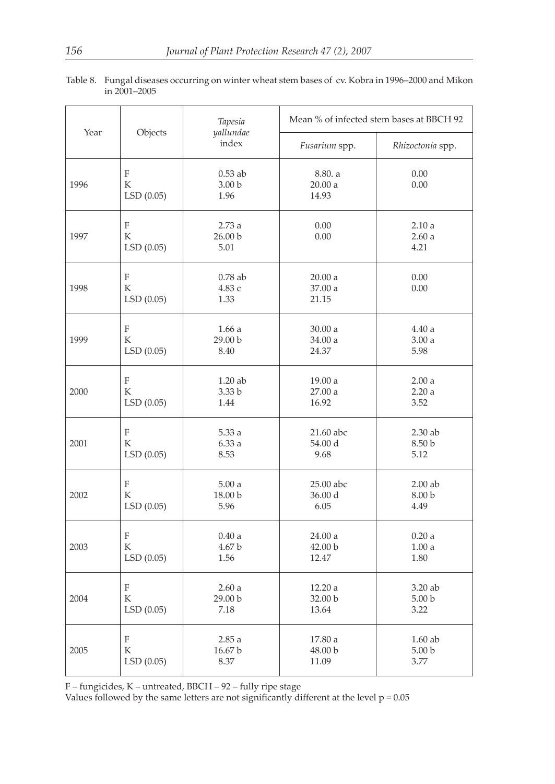| Year |                     | Tapesia                                | Mean % of infected stem bases at BBCH 92 |                        |  |
|------|---------------------|----------------------------------------|------------------------------------------|------------------------|--|
|      | Objects             | yallundae<br>index                     | Fusarium spp.                            | Rhizoctonia spp.       |  |
| 1996 | F<br>K<br>LSD(0.05) | $0.53$ ab<br>3.00 <sub>b</sub><br>1.96 | 8.80. a<br>20.00a<br>14.93               | 0.00<br>0.00           |  |
| 1997 | F<br>K<br>LSD(0.05) | 2.73a<br>26.00 b<br>5.01               | 0.00<br>0.00                             | 2.10a<br>2.60a<br>4.21 |  |
| 1998 | F<br>K<br>LSD(0.05) | $0.78$ ab<br>4.83 с<br>1.33            | 20.00a<br>37.00 a<br>21.15               | 0.00<br>0.00           |  |
| 1999 | F                   | 1.66a                                  | 30.00a                                   | 4.40a                  |  |
|      | K                   | 29.00 b                                | 34.00 a                                  | 3.00a                  |  |
|      | LSD(0.05)           | 8.40                                   | 24.37                                    | 5.98                   |  |
| 2000 | F                   | 1.20 ab                                | 19.00 a                                  | 2.00a                  |  |
|      | K                   | 3.33 b                                 | 27.00 a                                  | 2.20a                  |  |
|      | LSD(0.05)           | 1.44                                   | 16.92                                    | 3.52                   |  |
| 2001 | F                   | 5.33a                                  | 21.60 abc                                | 2.30 ab                |  |
|      | K                   | 6.33a                                  | 54.00 d                                  | 8.50 b                 |  |
|      | LSD(0.05)           | 8.53                                   | 9.68                                     | 5.12                   |  |
| 2002 | F                   | 5.00a                                  | 25.00 abc                                | $2.00$ ab              |  |
|      | К                   | 18.00 b                                | 36.00 d                                  | 8.00 b                 |  |
|      | LSD(0.05)           | 5.96                                   | 6.05                                     | 4.49                   |  |
| 2003 | F                   | 0.40a                                  | 24.00a                                   | 0.20a                  |  |
|      | K                   | 4.67 b                                 | 42.00 b                                  | 1.00a                  |  |
|      | LSD(0.05)           | 1.56                                   | 12.47                                    | 1.80                   |  |
| 2004 | F                   | 2.60a                                  | 12.20a                                   | 3.20 ab                |  |
|      | K                   | 29.00 b                                | 32.00 b                                  | 5.00 <sub>b</sub>      |  |
|      | LSD(0.05)           | 7.18                                   | 13.64                                    | 3.22                   |  |
| 2005 | F                   | 2.85a                                  | 17.80 a                                  | $1.60$ ab              |  |
|      | K                   | 16.67 b                                | 48.00 b                                  | 5.00 <sub>b</sub>      |  |
|      | LSD (0.05)          | 8.37                                   | 11.09                                    | 3.77                   |  |

Table 8. Fungal diseases occurring on winter wheat stem bases of cv. Kobra in 1996–2000 and Mikon in 2001–2005

F – fungicides, K – untreated, BBCH – 92 – fully ripe stage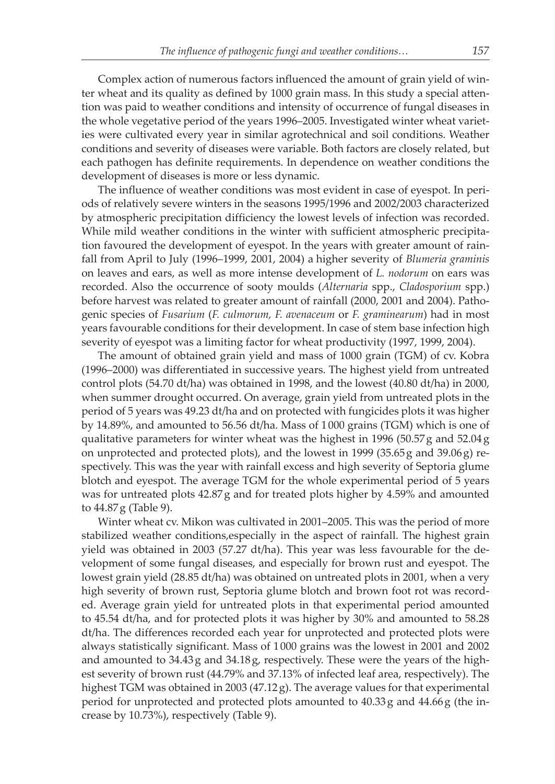Complex action of numerous factors influenced the amount of grain yield of winter wheat and its quality as defined by 1000 grain mass. In this study a special attention was paid to weather conditions and intensity of occurrence of fungal diseases in the whole vegetative period of the years 1996–2005. Investigated winter wheat varieties were cultivated every year in similar agrotechnical and soil conditions. Weather conditions and severity of diseases were variable. Both factors are closely related, but each pathogen has definite requirements. In dependence on weather conditions the development of diseases is more or less dynamic.

The influence of weather conditions was most evident in case of eyespot. In periods of relatively severe winters in the seasons 1995/1996 and 2002/2003 characterized by atmospheric precipitation difficiency the lowest levels of infection was recorded. While mild weather conditions in the winter with sufficient atmospheric precipitation favoured the development of eyespot. In the years with greater amount of rainfall from April to July (1996–1999, 2001, 2004) a higher severity of *Blumeria graminis* on leaves and ears, as well as more intense development of *L. nodorum* on ears was recorded. Also the occurrence of sooty moulds (*Alternaria* spp., *Cladosporium* spp.) before harvest was related to greater amount of rainfall (2000, 2001 and 2004). Pathogenic species of *Fusarium* (*F. culmorum, F. avenaceum* or *F. graminearum*) had in most years favourable conditions for their development. In case of stem base infection high severity of eyespot was a limiting factor for wheat productivity (1997, 1999, 2004).

The amount of obtained grain yield and mass of 1000 grain (TGM) of cv. Kobra (1996–2000) was differentiated in successive years. The highest yield from untreated control plots (54.70 dt/ha) was obtained in 1998, and the lowest (40.80 dt/ha) in 2000, when summer drought occurred. On average, grain yield from untreated plots in the period of 5 years was 49.23 dt/ha and on protected with fungicides plots it was higher by 14.89%, and amounted to 56.56 dt/ha. Mass of 1 000 grains (TGM) which is one of qualitative parameters for winter wheat was the highest in 1996 (50.57 g and 52.04 g on unprotected and protected plots), and the lowest in 1999 (35.65 g and 39.06 g) respectively. This was the year with rainfall excess and high severity of Septoria glume blotch and eyespot. The average TGM for the whole experimental period of 5 years was for untreated plots 42.87 g and for treated plots higher by 4.59% and amounted to 44.87 g (Table 9).

Winter wheat cv. Mikon was cultivated in 2001–2005. This was the period of more stabilized weather conditions,especially in the aspect of rainfall. The highest grain yield was obtained in 2003 (57.27 dt/ha). This year was less favourable for the development of some fungal diseases, and especially for brown rust and eyespot. The lowest grain yield (28.85 dt/ha) was obtained on untreated plots in 2001, when a very high severity of brown rust, Septoria glume blotch and brown foot rot was recorded. Average grain yield for untreated plots in that experimental period amounted to 45.54 dt/ha, and for protected plots it was higher by 30% and amounted to 58.28 dt/ha. The differences recorded each year for unprotected and protected plots were always statistically significant. Mass of 1 000 grains was the lowest in 2001 and 2002 and amounted to 34.43 g and 34.18 g, respectively. These were the years of the highest severity of brown rust (44.79% and 37.13% of infected leaf area, respectively). The highest TGM was obtained in 2003 (47.12 g). The average values for that experimental period for unprotected and protected plots amounted to 40.33 g and 44.66 g (the increase by 10.73%), respectively (Table 9).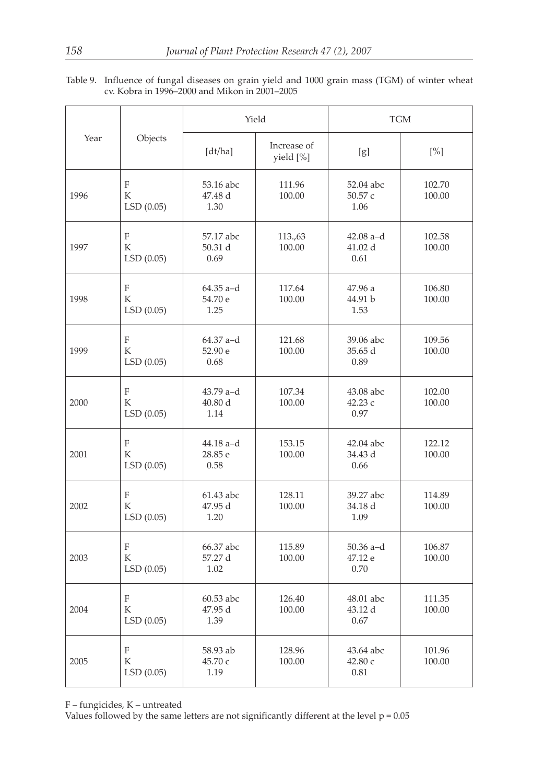| Table 9. Influence of fungal diseases on grain yield and 1000 grain mass (TGM) of winter wheat |
|------------------------------------------------------------------------------------------------|
| cv. Kobra in 1996–2000 and Mikon in 2001–2005                                                  |

|      |                     |                                | Yield                    | <b>TGM</b>                     |                  |  |
|------|---------------------|--------------------------------|--------------------------|--------------------------------|------------------|--|
| Year | Objects             | [dt/ha]                        | Increase of<br>yield [%] | [g]                            | $[\%]$           |  |
| 1996 | F<br>К<br>LSD(0.05) | 53.16 abc<br>47.48 d<br>1.30   | 111.96<br>100.00         | 52.04 abc<br>50.57 c<br>1.06   | 102.70<br>100.00 |  |
| 1997 | F<br>K<br>LSD(0.05) | 57.17 abc<br>50.31 d<br>0.69   | 113.,63<br>100.00        | $42.08$ a-d<br>41.02 d<br>0.61 | 102.58<br>100.00 |  |
| 1998 | F<br>K<br>LSD(0.05) | $64.35$ a-d<br>54.70 e<br>1.25 | 117.64<br>100.00         | 47.96 a<br>44.91 b<br>1.53     | 106.80<br>100.00 |  |
| 1999 | F<br>K<br>LSD(0.05) | 64.37 a-d<br>52.90 e<br>0.68   | 121.68<br>100.00         | 39.06 abc<br>35.65 d<br>0.89   | 109.56<br>100.00 |  |
| 2000 | F<br>K<br>LSD(0.05) | 43.79 a-d<br>40.80 d<br>1.14   | 107.34<br>100.00         | 43.08 abc<br>42.23 с<br>0.97   | 102.00<br>100.00 |  |
| 2001 | F<br>K<br>LSD(0.05) | 44.18 a-d<br>28.85 e<br>0.58   | 153.15<br>100.00         | 42.04 abc<br>34.43 d<br>0.66   | 122.12<br>100.00 |  |
| 2002 | F<br>K<br>LSD(0.05) | 61.43 abc<br>47.95 d<br>1.20   | 128.11<br>100.00         | 39.27 abc<br>34.18 d<br>1.09   | 114.89<br>100.00 |  |
| 2003 | F<br>K<br>LSD(0.05) | 66.37 abc<br>57.27 d<br>1.02   | 115.89<br>100.00         | $50.36$ a-d<br>47.12 e<br>0.70 | 106.87<br>100.00 |  |
| 2004 | F<br>K<br>LSD(0.05) | 60.53 abc<br>47.95 d<br>1.39   | 126.40<br>100.00         | 48.01 abc<br>43.12 d<br>0.67   | 111.35<br>100.00 |  |
| 2005 | F<br>K<br>LSD(0.05) | 58.93 ab<br>45.70 с<br>1.19    | 128.96<br>100.00         | 43.64 abc<br>42.80 с<br>0.81   | 101.96<br>100.00 |  |

F – fungicides, K – untreated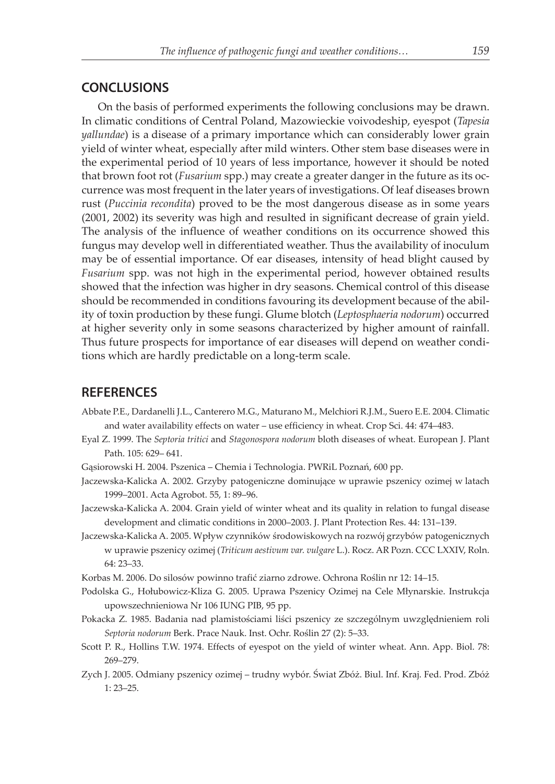#### **CONCLUSIONS**

On the basis of performed experiments the following conclusions may be drawn. In climatic conditions of Central Poland, Mazowieckie voivodeship, eyespot (*Tapesia yallundae*) is a disease of a primary importance which can considerably lower grain yield of winter wheat, especially after mild winters. Other stem base diseases were in the experimental period of 10 years of less importance, however it should be noted that brown foot rot (*Fusarium* spp.) may create a greater danger in the future as its occurrence was most frequent in the later years of investigations. Of leaf diseases brown rust (*Puccinia recondita*) proved to be the most dangerous disease as in some years (2001, 2002) its severity was high and resulted in significant decrease of grain yield. The analysis of the influence of weather conditions on its occurrence showed this fungus may develop well in differentiated weather. Thus the availability of inoculum may be of essential importance. Of ear diseases, intensity of head blight caused by *Fusarium* spp. was not high in the experimental period, however obtained results showed that the infection was higher in dry seasons. Chemical control of this disease should be recommended in conditions favouring its development because of the ability of toxin production by these fungi. Glume blotch (*Leptosphaeria nodorum*) occurred at higher severity only in some seasons characterized by higher amount of rainfall. Thus future prospects for importance of ear diseases will depend on weather conditions which are hardly predictable on a long-term scale.

#### **REFERENCES**

- Abbate P.E., Dardanelli J.L., Canterero M.G., Maturano M., Melchiori R.J.M., Suero E.E. 2004. Climatic and water availability effects on water – use efficiency in wheat. Crop Sci. 44: 474–483.
- Eyal Z. 1999. The *Septoria tritici* and *Stagonospora nodorum* bloth diseases of wheat. European J. Plant Path. 105: 629– 641.
- Gąsiorowski H. 2004. Pszenica Chemia i Technologia. PWRiL Poznań, 600 pp.
- Jaczewska-Kalicka A. 2002. Grzyby patogeniczne dominujące w uprawie pszenicy ozimej w latach 1999–2001. Acta Agrobot. 55, 1: 89–96.
- Jaczewska-Kalicka A. 2004. Grain yield of winter wheat and its quality in relation to fungal disease development and climatic conditions in 2000–2003. J. Plant Protection Res. 44: 131–139.
- Jaczewska-Kalicka A. 2005. Wpływ czynników środowiskowych na rozwój grzybów patogenicznych w uprawie pszenicy ozimej (*Triticum aestivum var. vulgare* L.). Rocz. AR Pozn. CCC LXXIV, Roln. 64: 23–33.
- Korbas M. 2006. Do silosów powinno trafić ziarno zdrowe. Ochrona Roślin nr 12: 14–15.
- Podolska G., Hołubowicz-Kliza G. 2005. Uprawa Pszenicy Ozimej na Cele Młynarskie. Instrukcja upowszechnieniowa Nr 106 IUNG PIB, 95 pp.
- Pokacka Z. 1985. Badania nad plamistościami liści pszenicy ze szczególnym uwzględnieniem roli *Septoria nodorum* Berk. Prace Nauk. Inst. Ochr. Roślin 27 (2): 5–33.
- Scott P. R., Hollins T.W. 1974. Effects of eyespot on the yield of winter wheat. Ann. App. Biol. 78: 269–279.
- Zych J. 2005. Odmiany pszenicy ozimej trudny wybór. Świat Zbóż. Biul. Inf. Kraj. Fed. Prod. Zbóż 1: 23–25.